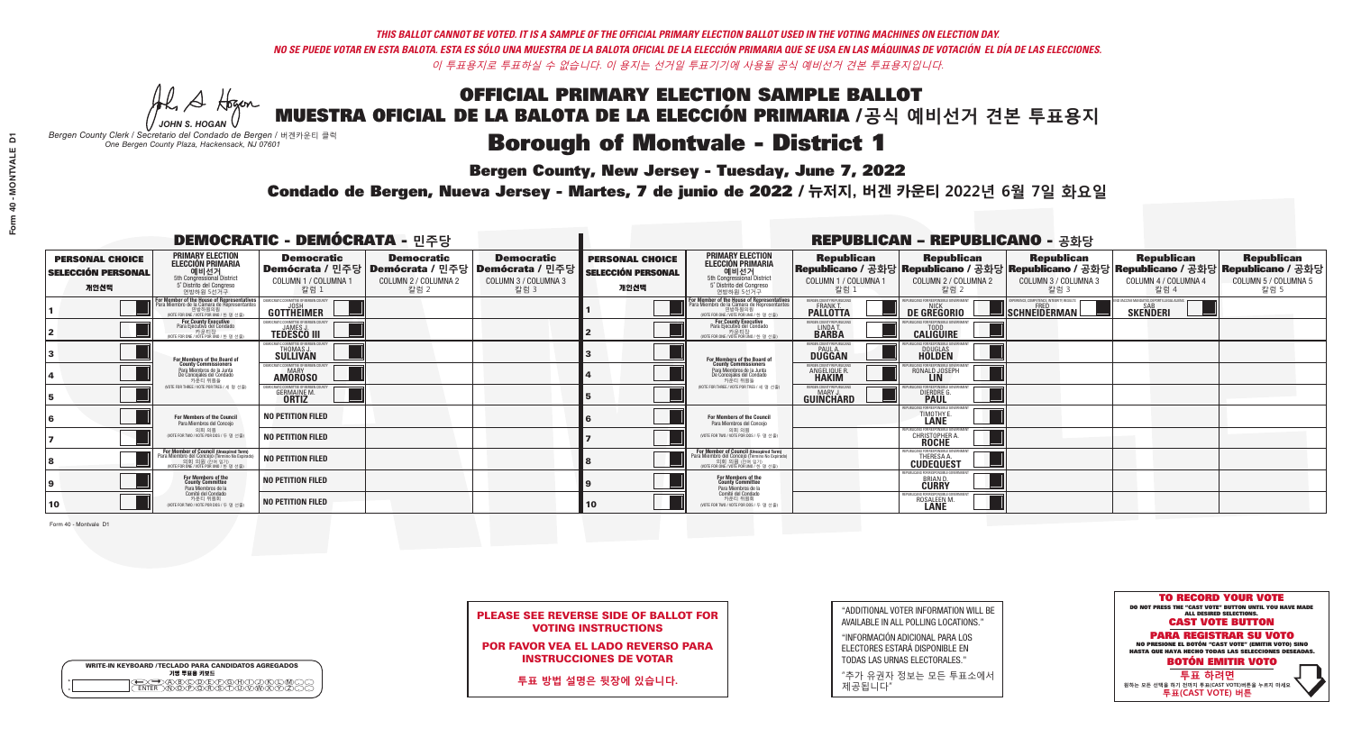A Hogen *JOHN S. HOGAN*

| <b>WRITE-IN KEYBOARD /TECLADO PARA CANDIDATOS AGREGADOS</b><br>기명 투표용 키보드 |  |
|---------------------------------------------------------------------------|--|
| E A BOO DE FORDO DE L                                                     |  |

# OFFICIAL PRIMARY ELECTION SAMPLE BALLOT MUESTRA OFICIAL DE LA BALOTA DE LA ELECCIÓN PRIMARIA /**공식 예비선거 견본 투표용지**

# **Borough of Montvale - District 1**

**Bergen County, New Jersey - Tuesday, June 7, 2022** 

*Bergen County Clerk / Secretario del Condado de Bergen /* 버겐카운티 클럭 *One Bergen County Plaza, Hackensack, NJ 07601*

Condado de Bergen, Nueva Jersey - Martes, 7 de junio de 2022 / 뉴저지, 버겐 카운티 2022년 6월 7일 화요일 *One Bergen County Plaza, Hackensack, NJ 07601*



PLEASE SEE REVERSE SIDE OF BALLOT FOR VOTING INSTRUCTIONS

POR FAVOR VEA EL LADO REVERSO PARA INSTRUCCIONES DE VOTAR

**투표 방법 설명은 뒷장에 있습니다.**

| "ADDITIONAL VOTER INFORMATION WILL BE |
|---------------------------------------|
| AVAILABLE IN ALL POLLING LOCATIONS."  |

"INFORMACIÓN ADICIONAL PARA LOS ELECTORES ESTARÁ DISPONIBLE EN TODAS LAS URNAS ELECTORALES."

"추가 유권자 정보는 모든 투표소에서 제공됩니다"

| <b>DEMOCRATIC - DEMÓCRATA - 민주당</b>                         |                                                                                                                                                     |                                                                                                        |                                                   |                                                   |                                                             |                                                                                                                                                     |                                                             | <b>REPUBLICAN - REPUBLICANO - 공화당</b>                           |                                                                                                                                                |                                                                 |                                                   |
|-------------------------------------------------------------|-----------------------------------------------------------------------------------------------------------------------------------------------------|--------------------------------------------------------------------------------------------------------|---------------------------------------------------|---------------------------------------------------|-------------------------------------------------------------|-----------------------------------------------------------------------------------------------------------------------------------------------------|-------------------------------------------------------------|-----------------------------------------------------------------|------------------------------------------------------------------------------------------------------------------------------------------------|-----------------------------------------------------------------|---------------------------------------------------|
| <b>PERSONAL CHOICE</b><br><b>SELECCIÓN PERSONAL</b><br>개인선택 | <b>PRIMARY ELECTION</b><br><b>ELECCIÓN PRIMARIA</b><br>예비선거<br><sup>5th</sup> Congressional District<br>5° Distrito del Congreso<br>연방하원 5선거구       | <b>Democratic</b><br>│Demócrata / 민주당│Demócrata / 민주당│Demócrata / 민주당│<br>COLUMN 1 / COLUMNA 1<br>칼럼 1 | <b>Democratic</b><br>COLUMN 2 / COLUMNA 2<br>칼럼 2 | <b>Democratic</b><br>COLUMN 3 / COLUMNA 3<br>칼럼 3 | <b>PERSONAL CHOICE</b><br><b>SELECCIÓN PERSONAL</b><br>개인선택 | <b>PRIMARY ELECTION</b><br>ELECCIÓN PRIMARIA<br>5th Congressional District<br>5° Distrito del Congreso<br>연방하원 5선거구                                 | <b>Republican</b><br>COLUMN 1 / COLUMNA 1<br>칼럼 1           | <b>Republican</b><br>COLUMN 2 / COLUMNA 2<br>칼럼 2               | <b>Republican</b><br>Republicano / 공화당 Republicano / 공화당 Republicano / 공화당 Republicano / 공화당 Republicano / 공화당<br>COLUMN 3 / COLUMNA 3<br>칼럼 3 | <b>Republican</b><br>COLUMN 4 / COLUMNA 4<br>칼럼 4               | <b>Republican</b><br>COLUMN 5 / COLUMNA 5<br>칼럼 5 |
|                                                             | F <b>or Member of the House of Representatives</b><br>Para Miembro de la Cámara de Representantes<br>연방하원의원<br>WOTE FOR ONE / VOTE POR UNO / 한 명 선출 | C COMMITTEE OF BERGEN COUNTY<br>GOTTHEIMER                                                             |                                                   |                                                   |                                                             | For Member of the House of Representatives<br>Para Miembro de la Cámara de Representantes<br>WOTE FOR ONE / VOTE POR UNO / 한 명 선결                   | BERGEN COUNTY REPUBLICANS<br>FRANK T.<br><b>PALLOTTA</b>    | DE GREGORIO                                                     | XPERIENCE, COMPETENCE, INTEGRITY, RESULTS<br>SCHNEIDERMAN                                                                                      | END VACCINE MANDATES, DEPORT ILLEGAL ALIENS.<br><b>SKENDERI</b> |                                                   |
|                                                             | For County Executive<br>Para Ejecutivo del Condado<br>NOTE FOR ONE / VOTE POR UNO / 한 명 선출)                                                         | JEMOCRATIC COMMITTEE OF BERGEN COUNT<br><b>TEDESCO III</b>                                             |                                                   |                                                   |                                                             | For County Executive<br>Para Ejecutivo del Condado<br>WOTE FOR ONE / VOTE POR UNO / 한 명 선출                                                          | BERGEN COUNTY REPUBLICAN<br>LINDA T.                        | <b>CALIGUIRE</b>                                                |                                                                                                                                                |                                                                 |                                                   |
|                                                             | For Members of the Board of<br>County Commissioners                                                                                                 | <b>EMOCRATIC COMMITTEE OF BERGEN COUNT</b><br>THOMAS J.                                                |                                                   |                                                   |                                                             | For Members of the Board of<br>County Commissioners                                                                                                 | BERGEN COUNTY REPUBLICAN<br><b>PAUL A.</b><br><b>DUGGAN</b> | <b>DOUGLAS</b><br><b>HOLDEN</b>                                 |                                                                                                                                                |                                                                 |                                                   |
|                                                             | Para Miembros de la Junta<br>De Concejales del Condado<br>카우티 위원들                                                                                   | <b>EMOCRATIC COMMITTEE OF BERGEN COUNTY</b><br><b>AMOROSO</b>                                          |                                                   |                                                   |                                                             | Para Miembros de la Junta<br>De Concejales del Condado<br>카운티 위원들                                                                                   | ERGEN COUNTY REPUBLICAN<br>ANGELIQUE R.                     | RONALD JOSEPH<br><b>LIN</b>                                     |                                                                                                                                                |                                                                 |                                                   |
|                                                             | NOTE FOR THREE / VOTE POR TRES / 세 명 선출)                                                                                                            | <b>CRATIC COMMITTEE OF BEBGEN COUN</b><br><b>GERMAINE M.</b>                                           |                                                   |                                                   |                                                             | NOTE FOR THREE / VOTE POR TRES / 세 명 선출)                                                                                                            | ERGEN COUNTY REPUBLICANS<br>MARY J<br>GUIÑCHARD             | ICANS FOR RESPONSIBI F<br><b>DIERDRE</b> O                      |                                                                                                                                                |                                                                 |                                                   |
|                                                             | For Members of the Council<br>Para Miembros del Conceio                                                                                             | NO PETITION FILED                                                                                      |                                                   |                                                   |                                                             | <b>For Members of the Council</b><br>Para Miembros del Conceio                                                                                      |                                                             | FOR RESPONSIBLE G<br><b>TIMOTHY</b>                             |                                                                                                                                                |                                                                 |                                                   |
|                                                             | 의회 의원<br>(VOTE FOR TWO / VOTE POR DOS / 두 명 선출)                                                                                                     | <b>NO PETITION FILED</b>                                                                               |                                                   |                                                   |                                                             | 의회 의원<br>(VOTE FOR TWO / VOTE POR DOS / 두 명 선출)                                                                                                     |                                                             | 'URI ICANS FOR RESPONSIBI E GOVERNMEN<br><b>CHRISTOPHER A.</b>  |                                                                                                                                                |                                                                 |                                                   |
|                                                             | For Member of Council (Unexpired Term)<br>Para Miembro del Concejo (Término No Expirado)<br>의회 의원 (찬예임기)<br>(VOTE FOR ONE / VOTE POR UNO / 한 명 선출)  | <b>NO PETITION FILED</b>                                                                               |                                                   |                                                   |                                                             | For Member of Council (Unexpired Term)<br>Para Miembro del Concejo (Término No Expirado)<br>의회 의원 (찬여 임기)<br>(VOTE FOR ONE / VOTE POR UNO / 한 명 선출) |                                                             | FPUBLICANS FOR RESPONSIBLE GO!<br>THFRFSA A<br><b>CUDEQUEST</b> |                                                                                                                                                |                                                                 |                                                   |
|                                                             | For Members of the<br>County Committee<br>Para Miembros de la                                                                                       | <b>NO PETITION FILED</b>                                                                               |                                                   |                                                   |                                                             | <b>For Members of the<br/>County Committee</b><br>Para Miembros de la                                                                               |                                                             | FPUBLICANS FOR RESPONSIBLE G<br><b>BRIAN D.</b><br><b>CURRY</b> |                                                                                                                                                |                                                                 |                                                   |
| 10                                                          | Comité del Condado<br>카운티 위원회<br>(VOTE FOR TWO / VOTE POR DOS / 두 명 선출)                                                                             | <b>NO PETITION FILED</b>                                                                               |                                                   |                                                   | 10                                                          | Comité del Condado<br>카운티 위원회<br>(VOTE FOR TWO / VOTE POR DOS / 두 명 선출)                                                                             |                                                             | PUBLICANS FOR RESPONSIBLE<br>ROSALEEN M.                        |                                                                                                                                                |                                                                 |                                                   |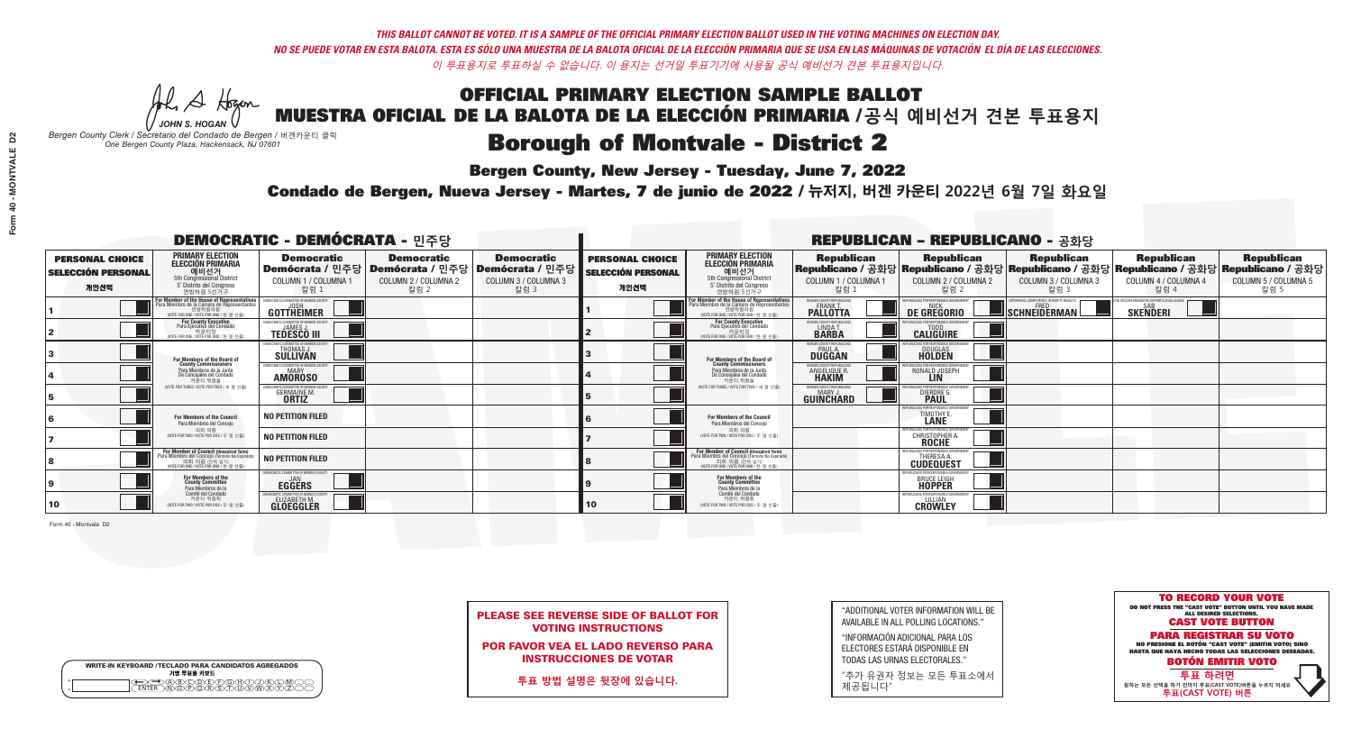### OFFICIAL PRIMARY ELECTION SAMPLE BALLOT MUESTRA OFICIAL DE LA BALOTA DE LA ELECCIÓN PRIMARIA /**공식 예비선거 견본 투표용지 Borough of Montvale - District 2**

**Bergen County, New Jersey - Tuesday, June 7, 2022** 

A Hogen *JOHN S. HOGAN*

| <b>WRITE-IN KEYBOARD /TECLADO PARA CANDIDATOS AGREGADOS</b><br>기명 투표용 키보드 |  |
|---------------------------------------------------------------------------|--|
| )(B)C)(D)(E)(F)(G)(H)(T)<br><u>এই প্রাপ্ত (ইংরাজ </u>                     |  |

*Bergen County Clerk / Secretario del Condado de Bergen /* 버겐카운티 클럭 *One Bergen County Plaza, Hackensack, NJ 07601*



PLEASE SEE REVERSE SIDE OF BALLOT FOR VOTING INSTRUCTIONS

POR FAVOR VEA EL LADO REVERSO PARA INSTRUCCIONES DE VOTAR

**투표 방법 설명은 뒷장에 있습니다.**

| "ADDITIONAL VOTER INFORMATION WILL BE |
|---------------------------------------|
| AVAILABLE IN ALL POLLING LOCATIONS."  |

"INFORMACIÓN ADICIONAL PARA LOS ELECTORES ESTARÁ DISPONIBLE EN TODAS LAS URNAS ELECTORALES."

"추가 유권자 정보는 모든 투표소에서 제공됩니다"

Condado de Bergen, Nueva Jersey - Martes, 7 de junio de 2022 / 뉴저지, 버겐 카운티 2022년 6월 7일 화요일 *One Bergen County Plaza, Hackensack, NJ 07601*

| <b>DEMOCRATIC - DEMÓCRATA - 민주당</b>                         |                                                                                                                                                       |                                                                                                        |                                                   |                                                   |                                                             |                                                                                                                                                    |                                                            | <b>REPUBLICAN - REPUBLICANO - 공화당</b>                                |                                                                                                                                                |                                                                |                                                   |
|-------------------------------------------------------------|-------------------------------------------------------------------------------------------------------------------------------------------------------|--------------------------------------------------------------------------------------------------------|---------------------------------------------------|---------------------------------------------------|-------------------------------------------------------------|----------------------------------------------------------------------------------------------------------------------------------------------------|------------------------------------------------------------|----------------------------------------------------------------------|------------------------------------------------------------------------------------------------------------------------------------------------|----------------------------------------------------------------|---------------------------------------------------|
| <b>PERSONAL CHOICE</b><br><b>SELECCIÓN PERSONAL</b><br>개인선택 | <b>PRIMARY ELECTION</b><br><b>ELECCIÓN PRIMARIA</b><br>예비선거<br>5th Congressional District<br>5° Distrito del Congreso<br>연방하원 5선거구                    | <b>Democratic</b><br>│Demócrata / 민주당│Demócrata / 민주당│Demócrata / 민주당│<br>COLUMN 1 / COLUMNA 1<br>칼럼 1 | <b>Democratic</b><br>COLUMN 2 / COLUMNA 2<br>칼럼 2 | <b>Democratic</b><br>COLUMN 3 / COLUMNA 3<br>칼럼 3 | <b>PERSONAL CHOICE</b><br><b>SELECCIÓN PERSONAL</b><br>개인선택 | <b>PRIMARY ELECTION</b><br><b>ELECCIÓN PRIMARIA</b><br>예비선거<br>5th Congressional District<br>5° Distrito del Congreso<br>연방하원 5선거구                 | <b>Republican</b><br>COLUMN 1 / COLUMNA 1<br>칼럼 1          | <b>Republican</b><br>COLUMN 2 / COLUMNA 2<br>칼럼 2                    | <b>Republican</b><br>Republicano / 공화당 Republicano / 공화당 Republicano / 공화당 Republicano / 공화당 Republicano / 공화당<br>COLUMN 3 / COLUMNA 3<br>칼럼 3 | <b>Republican</b><br>COLUMN 4 / COLUMNA 4<br>칼럼 4              | <b>Republican</b><br>COLUMN 5 / COLUMNA 5<br>칼럼 5 |
|                                                             | F <b>or Member of the House of Representatives</b><br>Para Miembro de la Cámara de Representantes<br>연방하원의원<br>(VOTE FOR ONE / VOTE POR UNO / 한 명 선출) | COMMITTEE OF BERGEN COUNTY<br>GOTTHEIMER                                                               |                                                   |                                                   |                                                             | For Member of the House of Representatives<br>Para Miembro de la Cámara de Representantes<br>WOTE FOR ONE / VOTE POR UNO / 한 명 선출                  | BERGEN COUNTY REPUBLICANS<br><b>PALLOTTA</b>               | DE GREGORIO                                                          | KPERIENCE, COMPETENCE, INTEGRITY, RESULTS<br>SCHNEIDERMAN                                                                                      | ND VACCINE MANDATES, DEPORT ILLEGAL ALIENS.<br><b>SKENDERI</b> |                                                   |
|                                                             | <b>For County Executive</b><br>Para Ejecutivo del Condado<br>(VOTE FOR ONE / VOTE POR UNO / 한 명 선출)                                                   | EMOCRATIC COMMITTEE OF BERGEN COUNTY<br><b>TEDESCO III</b>                                             |                                                   |                                                   |                                                             | For County Executive<br>Para Ejecutivo del Condado<br>WOTE FOR ONE / VOTE POR UNO / 한 명 선출                                                         | BERGEN COUNTY REPUBLICAN<br>LINDA T.                       | <b>CALIGUIRE</b>                                                     |                                                                                                                                                |                                                                |                                                   |
|                                                             | For Members of the Board of<br>County Commissioners                                                                                                   | THOMAS J.                                                                                              |                                                   |                                                   |                                                             | For Members of the Board of<br>County Commissioners                                                                                                | ERGEN COUNTY REPUBLICAN<br><b>PAUL A.</b><br><b>DUGGAN</b> | <b>DOUGLAS</b><br><b>HOLDEN</b>                                      |                                                                                                                                                |                                                                |                                                   |
|                                                             | Para Miembros de la Junta<br>De Concejales del Condado<br>카우티 위원들                                                                                     | MOCRATIC COMMITTEE OF BERGEN COUN'<br><b>AMOROSO</b>                                                   |                                                   |                                                   |                                                             | Para Miembros de la Junta<br>De Concejales del Condado<br>카우티 위원들                                                                                  | ERGEN COUNTY REPUBLICAN<br>ANGELIQUE R                     | RONALD JOSEPH<br><b>LIN</b>                                          |                                                                                                                                                |                                                                |                                                   |
|                                                             | (VOTE FOR THREE / VOTE POR TRES / 세 명 선출)                                                                                                             | <b>GERMAINE M.</b>                                                                                     |                                                   |                                                   |                                                             | NOTE FOR THREE / VOTE POR TRES / 세 명 선출                                                                                                            | ERGEN COUNTY REPUBLICAN<br><b>GUINCHARD</b>                | <b>DIERDRE</b>                                                       |                                                                                                                                                |                                                                |                                                   |
|                                                             | For Members of the Council<br>Para Miembros del Conceio                                                                                               | <b>NO PETITION FILED</b>                                                                               |                                                   |                                                   |                                                             | <b>For Members of the Council</b><br>Para Miembros del Conceio                                                                                     |                                                            | <b>TIMOTHY E</b>                                                     |                                                                                                                                                |                                                                |                                                   |
|                                                             | 의회 의원<br>(VOTE FOR TWO / VOTE POR DOS / 두 명 선출)                                                                                                       | <b>NO PETITION FILED</b>                                                                               |                                                   |                                                   |                                                             | 의회 의원<br>WOTE FOR TWO / VOTE POR DOS / 두 명 선출)                                                                                                     |                                                            | PUBLICANS FOR RESPONSIBLE GOVERNMENT<br><b>CHRISTOPHER A.</b>        |                                                                                                                                                |                                                                |                                                   |
|                                                             | For Member of Council (Unexpired Term)<br>Para Miembro del Concejo (Término No Expirado)<br>의회 의원 (찬예임기)<br>(VOTE FOR ONE / VOTE POR UNO / 한 명 선출)    | <b>NO PETITION FILED</b>                                                                               |                                                   |                                                   |                                                             | For Member of Council (Unexpired Term)<br>Para Miembro del Concejo (Término No Expirado)<br>의회 의원 (잔여 임기)<br>NOTE FOR ONE / VOTE POR UNO / 한 명 선출) |                                                            | PUBLICANS FOR RESPONSIBLE GO<br><b>THERESA A</b><br><b>CUDEQUEST</b> |                                                                                                                                                |                                                                |                                                   |
|                                                             | For Members of the<br>County Committee<br>Para Miembros de la                                                                                         | MOCRATIC COMMITTEE OF BERGEN COUNTY<br><b>EGGERS</b>                                                   |                                                   |                                                   |                                                             | For Members of the<br>County Committee<br>Para Miembros de la<br>Comité del Condado                                                                |                                                            | UBLICANS FOR RESPONSIBLE GOVERNMEN<br><b>BRUCE LEIGH</b>             |                                                                                                                                                |                                                                |                                                   |
| 10                                                          | Comité del Condado<br>카운티 위원회<br>(VOTE FOR TWO / VOTE POR DOS / 두 명 선출)                                                                               | FMOCRATIC COMMITTEE OF BERGEN COUNTY<br>ELIZABETH M.                                                   |                                                   |                                                   | 10                                                          | 카운티 위원회<br>(VOTE FOR TWO / VOTE POR DOS / 두 명 선출)                                                                                                  |                                                            | PLIRI ICANS FOR RESPONSIRI E GOVERNMEN<br><b>CROWLEY</b>             |                                                                                                                                                |                                                                |                                                   |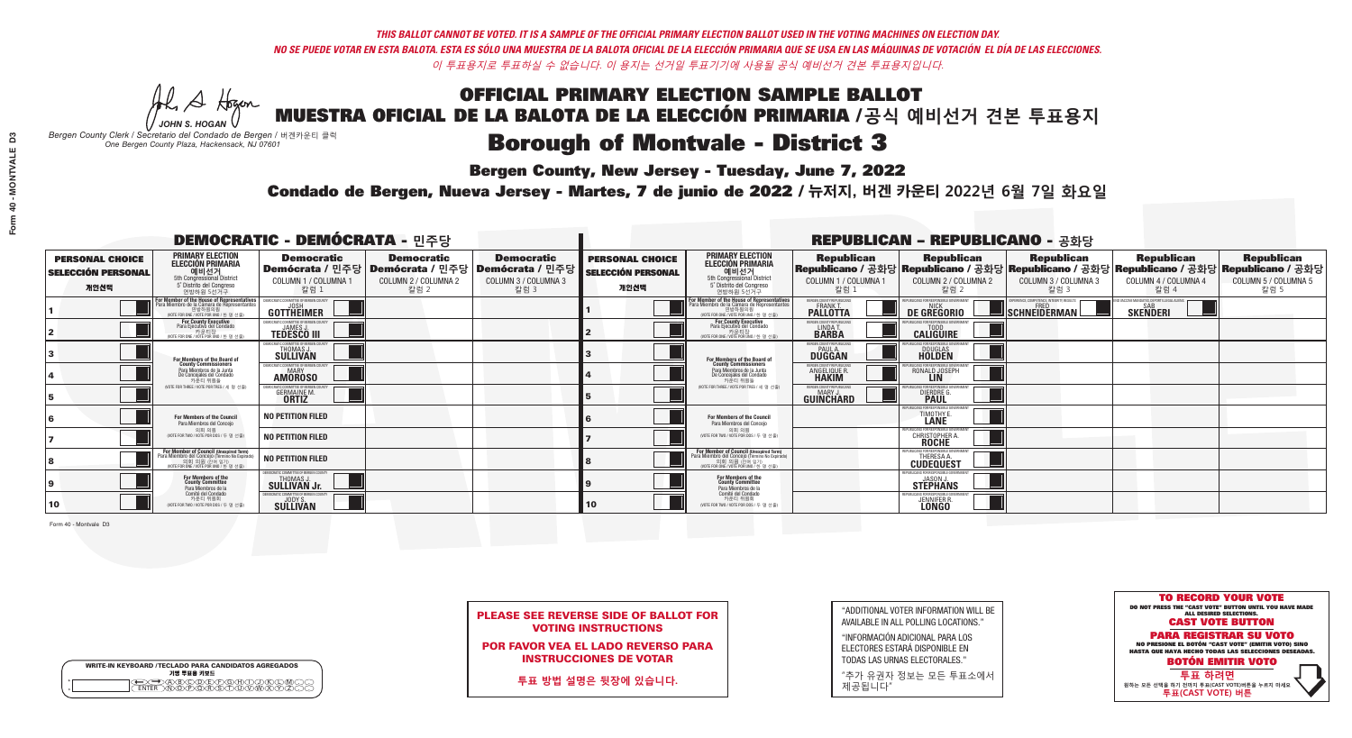A Hogen *JOHN S. HOGAN*

| <b>WRITE-IN KEYBOARD /TECLADO PARA CANDIDATOS AGREGADOS</b><br>기명 투표용 키보드 |  |
|---------------------------------------------------------------------------|--|
| @@@@@@@@@@@@<br>\@@@@@@@@@@@@@@<br><b>FNTFR</b>                           |  |

## OFFICIAL PRIMARY ELECTION SAMPLE BALLOT MUESTRA OFICIAL DE LA BALOTA DE LA ELECCIÓN PRIMARIA /**공식 예비선거 견본 투표용지**

# **Borough of Montvale - District 3**

**Bergen County, New Jersey - Tuesday, June 7, 2022** 

*Bergen County Clerk / Secretario del Condado de Bergen /* 버겐카운티 클럭 *One Bergen County Plaza, Hackensack, NJ 07601*



PLEASE SEE REVERSE SIDE OF BALLOT FOR VOTING INSTRUCTIONS

POR FAVOR VEA EL LADO REVERSO PARA INSTRUCCIONES DE VOTAR

**투표 방법 설명은 뒷장에 있습니다.**

| "ADDITIONAL VOTER INFORMATION WILL BE |
|---------------------------------------|
| AVAILABLE IN ALL POLLING LOCATIONS."  |

"INFORMACIÓN ADICIONAL PARA LOS ELECTORES ESTARÁ DISPONIBLE EN TODAS LAS URNAS ELECTORALES."

"추가 유권자 정보는 모든 투표소에서 제공됩니다"

Condado de Bergen, Nueva Jersey - Martes, 7 de junio de 2022 / 뉴저지, 버겐 카운티 2022년 6월 7일 화요일 *One Bergen County Plaza, Hackensack, NJ 07601*

| <b>DEMOCRATIC - DEMÓCRATA - 민주당</b>                         |                                                                                                                                               |                                                                                                        |                                                   |                                                   |                                                             |                                                                                                                                                    |                                                            | <b>REPUBLICAN - REPUBLICANO - 공화당</b>                                                                                                          |                                                   |                                                   |                                                   |
|-------------------------------------------------------------|-----------------------------------------------------------------------------------------------------------------------------------------------|--------------------------------------------------------------------------------------------------------|---------------------------------------------------|---------------------------------------------------|-------------------------------------------------------------|----------------------------------------------------------------------------------------------------------------------------------------------------|------------------------------------------------------------|------------------------------------------------------------------------------------------------------------------------------------------------|---------------------------------------------------|---------------------------------------------------|---------------------------------------------------|
| <b>PERSONAL CHOICE</b><br><b>SELECCIÓN PERSONAL</b><br>개인선택 | <b>PRIMARY ELECTION</b><br><b>ELECCIÓN PRIMARIA</b><br>예비선거<br><sup>5th</sup> Congressional District<br>5° Distrito del Congreso<br>연방하원 5선거구 | <b>Democratic</b><br>│Demócrata / 민주당│Demócrata / 민주당│Demócrata / 민주당│<br>COLUMN 1 / COLUMNA 1<br>칼럼 1 | <b>Democratic</b><br>COLUMN 2 / COLUMNA 2<br>칼럼 2 | <b>Democratic</b><br>COLUMN 3 / COLUMNA 3<br>칼럼 3 | <b>PERSONAL CHOICE</b><br><b>SELECCIÓN PERSONAL</b><br>개인선택 | <b>PRIMARY ELECTION</b><br><b>ELECCIÓN PRIMARIA</b><br>예비선거<br>5th Congressional District<br>5° Distrito del Congreso<br>연방하원 5선거구                 | <b>Republican</b><br>COLUMN 1 / COLUMNA 1<br>칼럼 1          | <b>Republican</b><br>Republicano / 공화당 Republicano / 공화당 Republicano / 공화당 Republicano / 공화당 Republicano / 공화당<br>COLUMN 2 / COLUMNA 2<br>칼럼 2 | <b>Republican</b><br>COLUMN 3 / COLUMNA 3<br>칼럼 3 | <b>Republican</b><br>COLUMN 4 / COLUMNA 4<br>칼럼 4 | <b>Republican</b><br>COLUMN 5 / COLUMNA 5<br>칼럼 5 |
|                                                             | or Member of the House of Representatives<br>ara Miembro de la Cámara de Representantes<br>연방하원의원<br>(VOTE FOR ONE / VOTE POR UNO / 한 명 선출)   | GOTTHEIMER                                                                                             |                                                   |                                                   |                                                             | <b>For Member of the House of Representatives<br/>Para Miembro de la Cámara de Representantes</b><br>NOTE FOR ONE / VOTE POR UNO / 한 명 선결          | BERGEN COUNTY REPUBLICANS<br><b>PALLOTTA</b>               | DE GREGORIO                                                                                                                                    | SCHNEIDERMAN                                      | <b>SKENDERI</b>                                   |                                                   |
|                                                             | For County Executive<br>Para Ejecutivo del Condado<br>7 카운티장<br>(VOTE FOR ONE / VOTE POR UNO / 한 명 선출)                                        | JEMOCRATIC COMMITTEE OF BERGEN COUNTY<br><b>TEDESCO III</b>                                            |                                                   |                                                   |                                                             | For County Executive<br>Para Ejecutivo del Condado<br>7) 카운티장<br>(VOTE FOR ONE / VOTE POR UNO / 한 명 선출)                                            | BERGEN COUNTY REPUBLICAN<br>LINDA T.                       | <b>CALIGUIRE</b>                                                                                                                               |                                                   |                                                   |                                                   |
|                                                             | For Members of the Board of<br>County Commissioners                                                                                           | MOCRATIC COMMITTEE OF BEBGEN COUNT<br>THOMAS J.                                                        |                                                   |                                                   |                                                             | For Members of the Board of<br>County Commissioners                                                                                                | ERGEN COUNTY REPUBLICAN<br><b>PAUL A.</b><br><b>DUGGAN</b> | DOUGLAS<br>HOLDEN                                                                                                                              |                                                   |                                                   |                                                   |
|                                                             | Para Miembros de la Junta<br>De Concejales del Condado<br>카우티 위원들                                                                             | MOCRATIC COMMITTEE OF BERGEN COUN'<br><b>AMOROSO</b>                                                   |                                                   |                                                   |                                                             | Para Miembros de la Junta<br>De Concejales del Condado<br>카운티 위원들                                                                                  | RGEN COUNTY REPUBLICAN<br>ANGELIQUE R                      | RONALD JOSEPH                                                                                                                                  |                                                   |                                                   |                                                   |
|                                                             | NOTE FOR THREE / VOTE POR TRES / 세 명 선출)                                                                                                      | RATIC COMMITTEE OF BERGEN COUN'<br><b>GERMAINE M.</b><br><b>ORTIZ</b>                                  |                                                   |                                                   |                                                             | (VOTE FOR THREE / VOTE POR TRES / 세 명 선출)                                                                                                          | ERGEN COUNTY REPUBLICANS<br><b>GUINCHARD</b>               | CANS FOR RESPONSIBLE GOVERNMEN<br>DIERDRE G                                                                                                    |                                                   |                                                   |                                                   |
|                                                             | For Members of the Council<br>Para Miembros del Conceio                                                                                       | NO PETITION FILED                                                                                      |                                                   |                                                   |                                                             | For Members of the Council<br>Para Miembros del Conceio                                                                                            |                                                            | <b>TIMOTHY</b>                                                                                                                                 |                                                   |                                                   |                                                   |
|                                                             | 의회 의원<br>(VOTE FOR TWO / VOTE POR DOS / 두 명 선출)                                                                                               | NO PETITION FILED                                                                                      |                                                   |                                                   |                                                             | 의회 의원<br>WOTE FOR TWO / VOTE POR DOS / 두 명 선출)                                                                                                     |                                                            | PUBLICANS FOR RESPONSIBLE GO<br><b>CHRISTOPHER A.</b>                                                                                          |                                                   |                                                   |                                                   |
|                                                             | For Member of Council (Unexpired Term)<br>Para Miembro del Concejo (Término No Expirado)<br>(VOTE FOR ONE / VOTE POR UNO / 한 명 선출)            | NO PETITION FILED                                                                                      |                                                   |                                                   |                                                             | For Member of Council (Unexpired Term)<br>Para Miembro del Concejo (Término No Expirado)<br>의회 의원 (찬예임기)<br>(VOTE FOR ONE / VOTE POR UNO / 한 명 선출) |                                                            | THERESA A<br><b>CUDEQUEST</b>                                                                                                                  |                                                   |                                                   |                                                   |
|                                                             | For Members of the<br>County Committee<br>Para Miembros de la                                                                                 | EMOCRATIC COMMITTEE OF BERGEN COUNTY<br><b>SULLIVAN Jr.</b>                                            |                                                   |                                                   |                                                             | <b>For Members of the<br/>County Committee</b><br>Para Miembros de la<br>Comité del Condado                                                        |                                                            | REPUBLICANS FOR RESPONSIBLE GOVERNMEN<br><b>STEPHANS</b>                                                                                       |                                                   |                                                   |                                                   |
| 10                                                          | Comité del Condado<br>카운티 위원회<br>(VOTE FOR TWO / VOTE POR DOS / 두 명 선출)                                                                       | FMOCRATIC COMMITTEE OF BERGEN COUNTY<br>SULLIVAN                                                       |                                                   |                                                   | 10                                                          | 카운티 위원회<br>(VOTE FOR TWO / VOTE POR DOS / 두 명 선출)                                                                                                  |                                                            | PUBLICANS FOR RESPONSIBLE GOVERNMEN<br>JENNIFER R.                                                                                             |                                                   |                                                   |                                                   |